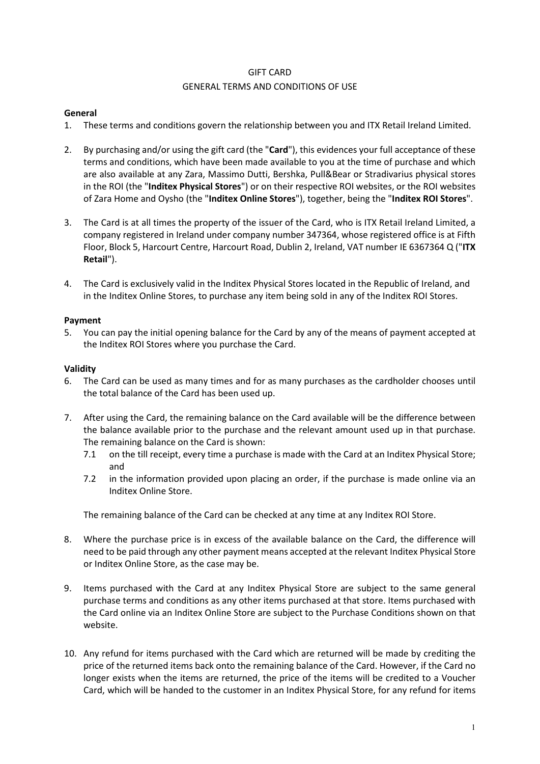## GIFT CARD

# GENERAL TERMS AND CONDITIONS OF USE

# **General**

- 1. These terms and conditions govern the relationship between you and ITX Retail Ireland Limited.
- 2. By purchasing and/or using the gift card (the "**Card**"), this evidences your full acceptance of these terms and conditions, which have been made available to you at the time of purchase and which are also available at any Zara, Massimo Dutti, Bershka, Pull&Bear or Stradivarius physical stores in the ROI (the "**Inditex Physical Stores**") or on their respective ROI websites, or the ROI websites of Zara Home and Oysho (the "**Inditex Online Stores**"), together, being the "**Inditex ROI Stores**".
- 3. The Card is at all times the property of the issuer of the Card, who is ITX Retail Ireland Limited, a company registered in Ireland under company number 347364, whose registered office is at Fifth Floor, Block 5, Harcourt Centre, Harcourt Road, Dublin 2, Ireland, VAT number IE 6367364 Q ("**ITX Retail**").
- 4. The Card is exclusively valid in the Inditex Physical Stores located in the Republic of Ireland, and in the Inditex Online Stores, to purchase any item being sold in any of the Inditex ROI Stores.

# **Payment**

5. You can pay the initial opening balance for the Card by any of the means of payment accepted at the Inditex ROI Stores where you purchase the Card.

# **Validity**

- 6. The Card can be used as many times and for as many purchases as the cardholder chooses until the total balance of the Card has been used up.
- 7. After using the Card, the remaining balance on the Card available will be the difference between the balance available prior to the purchase and the relevant amount used up in that purchase. The remaining balance on the Card is shown:
	- 7.1 on the till receipt, every time a purchase is made with the Card at an Inditex Physical Store; and
	- 7.2 in the information provided upon placing an order, if the purchase is made online via an Inditex Online Store.

The remaining balance of the Card can be checked at any time at any Inditex ROI Store.

- 8. Where the purchase price is in excess of the available balance on the Card, the difference will need to be paid through any other payment means accepted at the relevant Inditex Physical Store or Inditex Online Store, as the case may be.
- 9. Items purchased with the Card at any Inditex Physical Store are subject to the same general purchase terms and conditions as any other items purchased at that store. Items purchased with the Card online via an Inditex Online Store are subject to the Purchase Conditions shown on that website.
- 10. Any refund for items purchased with the Card which are returned will be made by crediting the price of the returned items back onto the remaining balance of the Card. However, if the Card no longer exists when the items are returned, the price of the items will be credited to a Voucher Card, which will be handed to the customer in an Inditex Physical Store, for any refund for items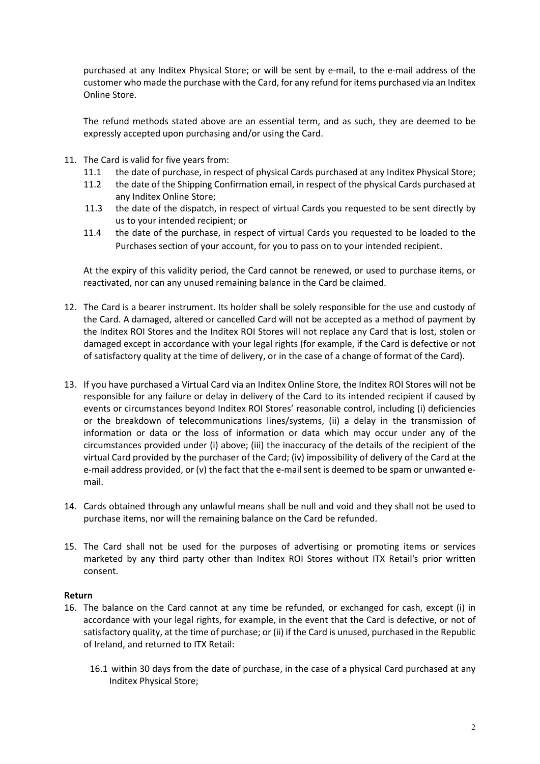purchased at any Inditex Physical Store; or will be sent by e-mail, to the e-mail address of the customer who made the purchase with the Card, for any refund for items purchased via an Inditex Online Store.

The refund methods stated above are an essential term, and as such, they are deemed to be expressly accepted upon purchasing and/or using the Card.

- 11. The Card is valid for five years from:
	- 11.1 the date of purchase, in respect of physical Cards purchased at any Inditex Physical Store;
	- 11.2 the date of the Shipping Confirmation email, in respect of the physical Cards purchased at any Inditex Online Store;
	- 11.3 the date of the dispatch, in respect of virtual Cards you requested to be sent directly by us to your intended recipient; or
	- 11.4 the date of the purchase, in respect of virtual Cards you requested to be loaded to the Purchases section of your account, for you to pass on to your intended recipient.

At the expiry of this validity period, the Card cannot be renewed, or used to purchase items, or reactivated, nor can any unused remaining balance in the Card be claimed.

- 12. The Card is a bearer instrument. Its holder shall be solely responsible for the use and custody of the Card. A damaged, altered or cancelled Card will not be accepted as a method of payment by the Inditex ROI Stores and the Inditex ROI Stores will not replace any Card that is lost, stolen or damaged except in accordance with your legal rights (for example, if the Card is defective or not of satisfactory quality at the time of delivery, or in the case of a change of format of the Card).
- 13. If you have purchased a Virtual Card via an Inditex Online Store, the Inditex ROI Stores will not be responsible for any failure or delay in delivery of the Card to its intended recipient if caused by events or circumstances beyond Inditex ROI Stores' reasonable control, including (i) deficiencies or the breakdown of telecommunications lines/systems, (ii) a delay in the transmission of information or data or the loss of information or data which may occur under any of the circumstances provided under (i) above; (iii) the inaccuracy of the details of the recipient of the virtual Card provided by the purchaser of the Card; (iv) impossibility of delivery of the Card at the e-mail address provided, or (v) the fact that the e-mail sent is deemed to be spam or unwanted email.
- 14. Cards obtained through any unlawful means shall be null and void and they shall not be used to purchase items, nor will the remaining balance on the Card be refunded.
- 15. The Card shall not be used for the purposes of advertising or promoting items or services marketed by any third party other than Inditex ROI Stores without ITX Retail's prior written consent.

## **Return**

- 16. The balance on the Card cannot at any time be refunded, or exchanged for cash, except (i) in accordance with your legal rights, for example, in the event that the Card is defective, or not of satisfactory quality, at the time of purchase; or (ii) if the Card is unused, purchased in the Republic of Ireland, and returned to ITX Retail:
	- 16.1 within 30 days from the date of purchase, in the case of a physical Card purchased at any Inditex Physical Store;